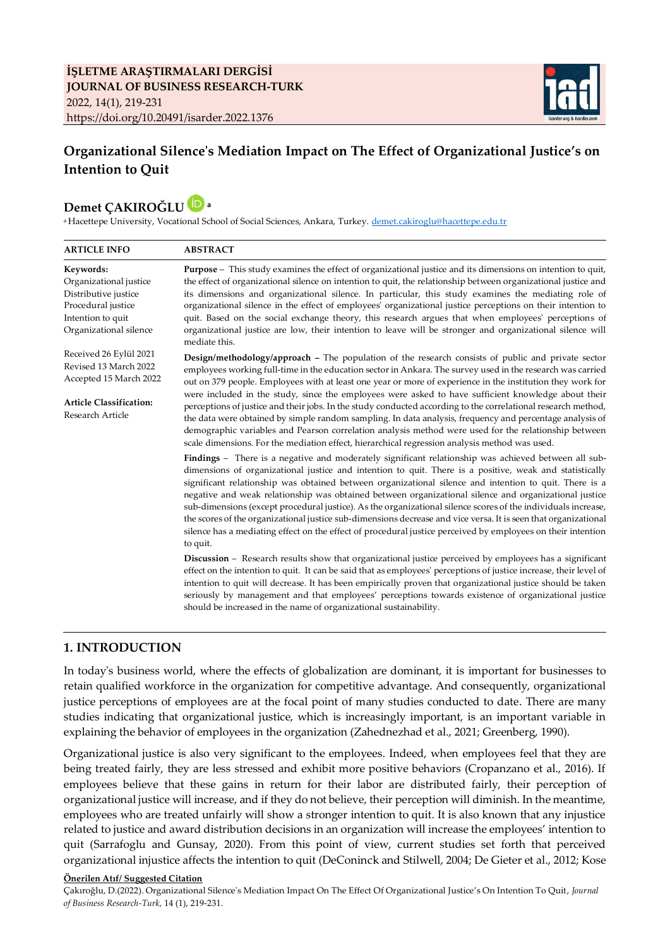

# **Organizational Silence's Mediation Impact on The Effect of Organizational Justice's on Intention to Quit**

# **Demet ÇAKIROĞLU a**

<sup>a</sup> Hacettepe University, Vocational School of Social Sciences, Ankara, Turkey. [demet.cakiroglu@hacettepe.edu.tr](mailto:demet.cakiroglu@hacettepe.edu.tr)

| <b>ABSTRACT</b>                                                                                                                                                                                                                                                                                                                                                                                                                                                                                                                                                                                                                                                                                                                                                                                                                                                                                                                                                                                                                                                                                                                                                                                                                                                  |  |  |  |  |  |
|------------------------------------------------------------------------------------------------------------------------------------------------------------------------------------------------------------------------------------------------------------------------------------------------------------------------------------------------------------------------------------------------------------------------------------------------------------------------------------------------------------------------------------------------------------------------------------------------------------------------------------------------------------------------------------------------------------------------------------------------------------------------------------------------------------------------------------------------------------------------------------------------------------------------------------------------------------------------------------------------------------------------------------------------------------------------------------------------------------------------------------------------------------------------------------------------------------------------------------------------------------------|--|--|--|--|--|
| Purpose - This study examines the effect of organizational justice and its dimensions on intention to quit,<br>the effect of organizational silence on intention to quit, the relationship between organizational justice and<br>its dimensions and organizational silence. In particular, this study examines the mediating role of<br>organizational silence in the effect of employees' organizational justice perceptions on their intention to<br>quit. Based on the social exchange theory, this research argues that when employees' perceptions of<br>organizational justice are low, their intention to leave will be stronger and organizational silence will<br>mediate this.                                                                                                                                                                                                                                                                                                                                                                                                                                                                                                                                                                         |  |  |  |  |  |
| Design/methodology/approach - The population of the research consists of public and private sector<br>employees working full-time in the education sector in Ankara. The survey used in the research was carried<br>out on 379 people. Employees with at least one year or more of experience in the institution they work for<br>were included in the study, since the employees were asked to have sufficient knowledge about their<br>perceptions of justice and their jobs. In the study conducted according to the correlational research method,<br>the data were obtained by simple random sampling. In data analysis, frequency and percentage analysis of<br>demographic variables and Pearson correlation analysis method were used for the relationship between<br>scale dimensions. For the mediation effect, hierarchical regression analysis method was used.                                                                                                                                                                                                                                                                                                                                                                                      |  |  |  |  |  |
| Findings – There is a negative and moderately significant relationship was achieved between all sub-<br>dimensions of organizational justice and intention to quit. There is a positive, weak and statistically<br>significant relationship was obtained between organizational silence and intention to quit. There is a<br>negative and weak relationship was obtained between organizational silence and organizational justice<br>sub-dimensions (except procedural justice). As the organizational silence scores of the individuals increase,<br>the scores of the organizational justice sub-dimensions decrease and vice versa. It is seen that organizational<br>silence has a mediating effect on the effect of procedural justice perceived by employees on their intention<br>to quit.<br><b>Discussion</b> – Research results show that organizational justice perceived by employees has a significant<br>effect on the intention to quit. It can be said that as employees' perceptions of justice increase, their level of<br>intention to quit will decrease. It has been empirically proven that organizational justice should be taken<br>seriously by management and that employees' perceptions towards existence of organizational justice |  |  |  |  |  |
|                                                                                                                                                                                                                                                                                                                                                                                                                                                                                                                                                                                                                                                                                                                                                                                                                                                                                                                                                                                                                                                                                                                                                                                                                                                                  |  |  |  |  |  |

# **1. INTRODUCTION**

In today's business world, where the effects of globalization are dominant, it is important for businesses to retain qualified workforce in the organization for competitive advantage. And consequently, organizational justice perceptions of employees are at the focal point of many studies conducted to date. There are many studies indicating that organizational justice, which is increasingly important, is an important variable in explaining the behavior of employees in the organization (Zahednezhad et al., 2021; Greenberg, 1990).

Organizational justice is also very significant to the employees. Indeed, when employees feel that they are being treated fairly, they are less stressed and exhibit more positive behaviors (Cropanzano et al., 2016). If employees believe that these gains in return for their labor are distributed fairly, their perception of organizational justice will increase, and if they do not believe, their perception will diminish. In the meantime, employees who are treated unfairly will show a stronger intention to quit. It is also known that any injustice related to justice and award distribution decisions in an organization will increase the employees' intention to quit (Sarrafoglu and Gunsay, 2020). From this point of view, current studies set forth that perceived organizational injustice affects the intention to quit (DeConinck and Stilwell, 2004; De Gieter et al., 2012; Kose

#### **Önerilen Atıf/ Suggested Citation**

Çakıroğlu, D.(2022). Organizational Silence's Mediation Impact On The Effect Of Organizational Justice's On Intention To Quit, *Journal of Business Research-Turk,* 14 (1), 219-231.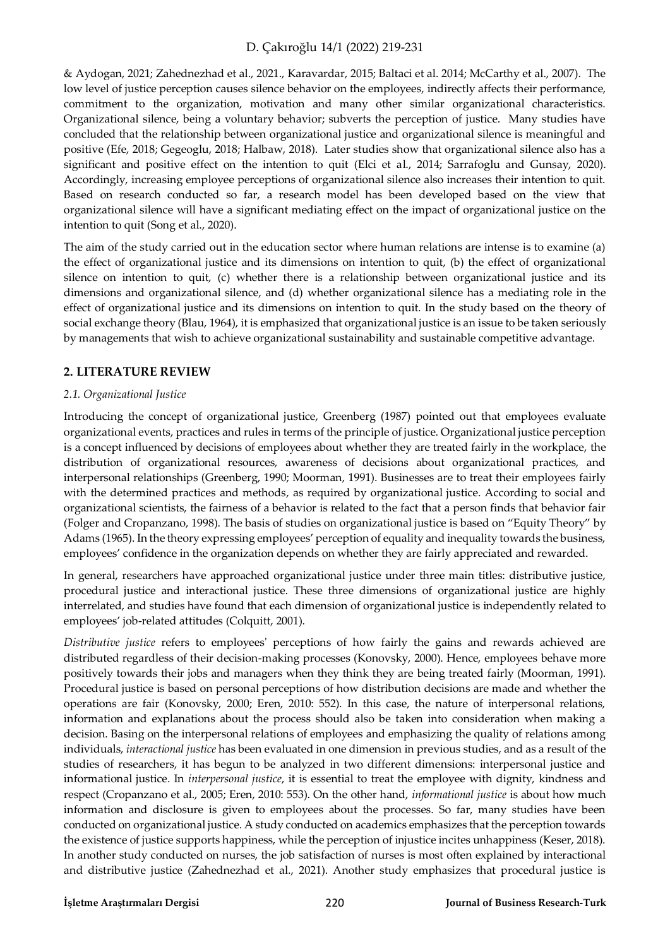& Aydogan, 2021; Zahednezhad et al., 2021., Karavardar, 2015; Baltaci et al. 2014; McCarthy et al., 2007). The low level of justice perception causes silence behavior on the employees, indirectly affects their performance, commitment to the organization, motivation and many other similar organizational characteristics. Organizational silence, being a voluntary behavior; subverts the perception of justice. Many studies have concluded that the relationship between organizational justice and organizational silence is meaningful and positive (Efe, 2018; Gegeoglu, 2018; Halbaw, 2018). Later studies show that organizational silence also has a significant and positive effect on the intention to quit (Elci et al., 2014; Sarrafoglu and Gunsay, 2020). Accordingly, increasing employee perceptions of organizational silence also increases their intention to quit. Based on research conducted so far, a research model has been developed based on the view that organizational silence will have a significant mediating effect on the impact of organizational justice on the intention to quit (Song et al., 2020).

The aim of the study carried out in the education sector where human relations are intense is to examine (a) the effect of organizational justice and its dimensions on intention to quit, (b) the effect of organizational silence on intention to quit, (c) whether there is a relationship between organizational justice and its dimensions and organizational silence, and (d) whether organizational silence has a mediating role in the effect of organizational justice and its dimensions on intention to quit. In the study based on the theory of social exchange theory (Blau, 1964), it is emphasized that organizational justice is an issue to be taken seriously by managements that wish to achieve organizational sustainability and sustainable competitive advantage.

# **2. LITERATURE REVIEW**

### *2.1. Organizational Justice*

Introducing the concept of organizational justice, Greenberg (1987) pointed out that employees evaluate organizational events, practices and rules in terms of the principle of justice. Organizational justice perception is a concept influenced by decisions of employees about whether they are treated fairly in the workplace, the distribution of organizational resources, awareness of decisions about organizational practices, and interpersonal relationships (Greenberg, 1990; Moorman, 1991). Businesses are to treat their employees fairly with the determined practices and methods, as required by organizational justice. According to social and organizational scientists, the fairness of a behavior is related to the fact that a person finds that behavior fair (Folger and Cropanzano, 1998). The basis of studies on organizational justice is based on "Equity Theory" by Adams (1965). In the theory expressing employees' perception of equality and inequality towards the business, employees' confidence in the organization depends on whether they are fairly appreciated and rewarded.

In general, researchers have approached organizational justice under three main titles: distributive justice, procedural justice and interactional justice. These three dimensions of organizational justice are highly interrelated, and studies have found that each dimension of organizational justice is independently related to employees' job-related attitudes (Colquitt, 2001).

*Distributive justice* refers to employees' perceptions of how fairly the gains and rewards achieved are distributed regardless of their decision-making processes (Konovsky, 2000). Hence, employees behave more positively towards their jobs and managers when they think they are being treated fairly (Moorman, 1991). Procedural justice is based on personal perceptions of how distribution decisions are made and whether the operations are fair (Konovsky, 2000; Eren, 2010: 552). In this case, the nature of interpersonal relations, information and explanations about the process should also be taken into consideration when making a decision. Basing on the interpersonal relations of employees and emphasizing the quality of relations among individuals, *interactional justice* has been evaluated in one dimension in previous studies, and as a result of the studies of researchers, it has begun to be analyzed in two different dimensions: interpersonal justice and informational justice. In *interpersonal justice*, it is essential to treat the employee with dignity, kindness and respect (Cropanzano et al., 2005; Eren, 2010: 553). On the other hand, *informational justice* is about how much information and disclosure is given to employees about the processes. So far, many studies have been conducted on organizational justice. A study conducted on academics emphasizes that the perception towards the existence of justice supports happiness, while the perception of injustice incites unhappiness (Keser, 2018). In another study conducted on nurses, the job satisfaction of nurses is most often explained by interactional and distributive justice (Zahednezhad et al., 2021). Another study emphasizes that procedural justice is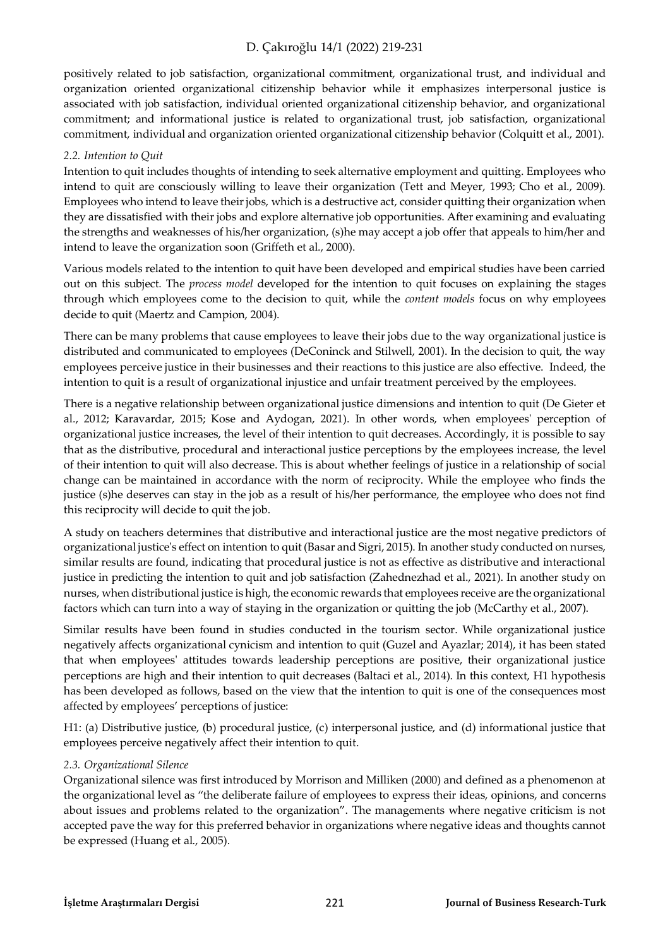positively related to job satisfaction, organizational commitment, organizational trust, and individual and organization oriented organizational citizenship behavior while it emphasizes interpersonal justice is associated with job satisfaction, individual oriented organizational citizenship behavior, and organizational commitment; and informational justice is related to organizational trust, job satisfaction, organizational commitment, individual and organization oriented organizational citizenship behavior (Colquitt et al., 2001).

#### *2.2. Intention to Quit*

Intention to quit includes thoughts of intending to seek alternative employment and quitting. Employees who intend to quit are consciously willing to leave their organization (Tett and Meyer, 1993; Cho et al., 2009). Employees who intend to leave their jobs, which is a destructive act, consider quitting their organization when they are dissatisfied with their jobs and explore alternative job opportunities. After examining and evaluating the strengths and weaknesses of his/her organization, (s)he may accept a job offer that appeals to him/her and intend to leave the organization soon (Griffeth et al., 2000).

Various models related to the intention to quit have been developed and empirical studies have been carried out on this subject. The *process model* developed for the intention to quit focuses on explaining the stages through which employees come to the decision to quit, while the *content models* focus on why employees decide to quit (Maertz and Campion, 2004).

There can be many problems that cause employees to leave their jobs due to the way organizational justice is distributed and communicated to employees (DeConinck and Stilwell, 2001). In the decision to quit, the way employees perceive justice in their businesses and their reactions to this justice are also effective. Indeed, the intention to quit is a result of organizational injustice and unfair treatment perceived by the employees.

There is a negative relationship between organizational justice dimensions and intention to quit (De Gieter et al., 2012; Karavardar, 2015; Kose and Aydogan, 2021). In other words, when employees' perception of organizational justice increases, the level of their intention to quit decreases. Accordingly, it is possible to say that as the distributive, procedural and interactional justice perceptions by the employees increase, the level of their intention to quit will also decrease. This is about whether feelings of justice in a relationship of social change can be maintained in accordance with the norm of reciprocity. While the employee who finds the justice (s)he deserves can stay in the job as a result of his/her performance, the employee who does not find this reciprocity will decide to quit the job.

A study on teachers determines that distributive and interactional justice are the most negative predictors of organizational justice's effect on intention to quit (Basar and Sigri, 2015). In another study conducted on nurses, similar results are found, indicating that procedural justice is not as effective as distributive and interactional justice in predicting the intention to quit and job satisfaction (Zahednezhad et al., 2021). In another study on nurses, when distributional justice is high, the economic rewards that employees receive are the organizational factors which can turn into a way of staying in the organization or quitting the job (McCarthy et al., 2007).

Similar results have been found in studies conducted in the tourism sector. While organizational justice negatively affects organizational cynicism and intention to quit (Guzel and Ayazlar; 2014), it has been stated that when employees' attitudes towards leadership perceptions are positive, their organizational justice perceptions are high and their intention to quit decreases (Baltaci et al., 2014). In this context, H1 hypothesis has been developed as follows, based on the view that the intention to quit is one of the consequences most affected by employees' perceptions of justice:

H1: (a) Distributive justice, (b) procedural justice, (c) interpersonal justice, and (d) informational justice that employees perceive negatively affect their intention to quit.

#### *2.3. Organizational Silence*

Organizational silence was first introduced by Morrison and Milliken (2000) and defined as a phenomenon at the organizational level as "the deliberate failure of employees to express their ideas, opinions, and concerns about issues and problems related to the organization". The managements where negative criticism is not accepted pave the way for this preferred behavior in organizations where negative ideas and thoughts cannot be expressed (Huang et al., 2005).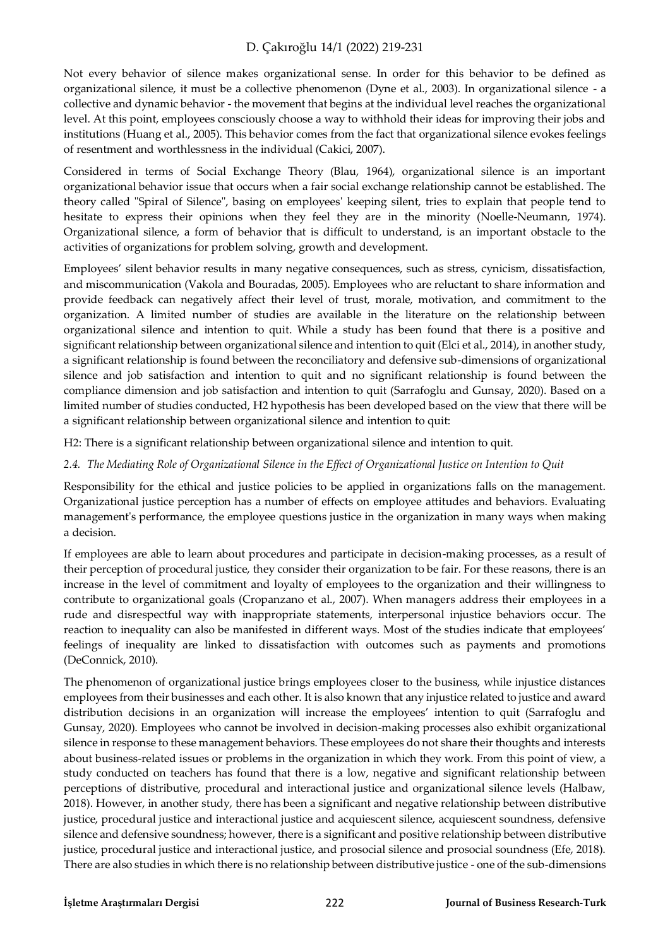Not every behavior of silence makes organizational sense. In order for this behavior to be defined as organizational silence, it must be a collective phenomenon (Dyne et al., 2003). In organizational silence - a collective and dynamic behavior - the movement that begins at the individual level reaches the organizational level. At this point, employees consciously choose a way to withhold their ideas for improving their jobs and institutions (Huang et al., 2005). This behavior comes from the fact that organizational silence evokes feelings of resentment and worthlessness in the individual (Cakici, 2007).

Considered in terms of Social Exchange Theory (Blau, 1964), organizational silence is an important organizational behavior issue that occurs when a fair social exchange relationship cannot be established. The theory called "Spiral of Silence", basing on employees' keeping silent, tries to explain that people tend to hesitate to express their opinions when they feel they are in the minority (Noelle-Neumann, 1974). Organizational silence, a form of behavior that is difficult to understand, is an important obstacle to the activities of organizations for problem solving, growth and development.

Employees' silent behavior results in many negative consequences, such as stress, cynicism, dissatisfaction, and miscommunication (Vakola and Bouradas, 2005). Employees who are reluctant to share information and provide feedback can negatively affect their level of trust, morale, motivation, and commitment to the organization. A limited number of studies are available in the literature on the relationship between organizational silence and intention to quit. While a study has been found that there is a positive and significant relationship between organizational silence and intention to quit (Elci et al., 2014), in another study, a significant relationship is found between the reconciliatory and defensive sub-dimensions of organizational silence and job satisfaction and intention to quit and no significant relationship is found between the compliance dimension and job satisfaction and intention to quit (Sarrafoglu and Gunsay, 2020). Based on a limited number of studies conducted, H2 hypothesis has been developed based on the view that there will be a significant relationship between organizational silence and intention to quit:

H2: There is a significant relationship between organizational silence and intention to quit.

### *2.4. The Mediating Role of Organizational Silence in the Effect of Organizational Justice on Intention to Quit*

Responsibility for the ethical and justice policies to be applied in organizations falls on the management. Organizational justice perception has a number of effects on employee attitudes and behaviors. Evaluating management's performance, the employee questions justice in the organization in many ways when making a decision.

If employees are able to learn about procedures and participate in decision-making processes, as a result of their perception of procedural justice, they consider their organization to be fair. For these reasons, there is an increase in the level of commitment and loyalty of employees to the organization and their willingness to contribute to organizational goals (Cropanzano et al., 2007). When managers address their employees in a rude and disrespectful way with inappropriate statements, interpersonal injustice behaviors occur. The reaction to inequality can also be manifested in different ways. Most of the studies indicate that employees' feelings of inequality are linked to dissatisfaction with outcomes such as payments and promotions (DeConnick, 2010).

The phenomenon of organizational justice brings employees closer to the business, while injustice distances employees from their businesses and each other. It is also known that any injustice related to justice and award distribution decisions in an organization will increase the employees' intention to quit (Sarrafoglu and Gunsay, 2020). Employees who cannot be involved in decision-making processes also exhibit organizational silence in response to these management behaviors. These employees do not share their thoughts and interests about business-related issues or problems in the organization in which they work. From this point of view, a study conducted on teachers has found that there is a low, negative and significant relationship between perceptions of distributive, procedural and interactional justice and organizational silence levels (Halbaw, 2018). However, in another study, there has been a significant and negative relationship between distributive justice, procedural justice and interactional justice and acquiescent silence, acquiescent soundness, defensive silence and defensive soundness; however, there is a significant and positive relationship between distributive justice, procedural justice and interactional justice, and prosocial silence and prosocial soundness (Efe, 2018). There are also studies in which there is no relationship between distributive justice - one of the sub-dimensions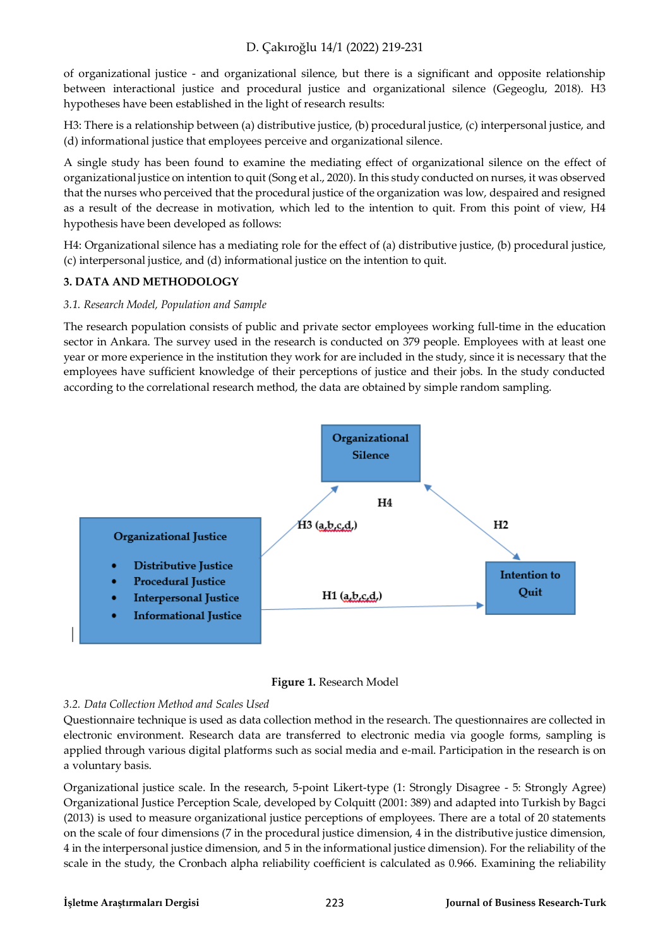of organizational justice - and organizational silence, but there is a significant and opposite relationship between interactional justice and procedural justice and organizational silence (Gegeoglu, 2018). H3 hypotheses have been established in the light of research results:

H3: There is a relationship between (a) distributive justice, (b) procedural justice, (c) interpersonal justice, and (d) informational justice that employees perceive and organizational silence.

A single study has been found to examine the mediating effect of organizational silence on the effect of organizational justice on intention to quit (Song et al., 2020). In this study conducted on nurses, it was observed that the nurses who perceived that the procedural justice of the organization was low, despaired and resigned as a result of the decrease in motivation, which led to the intention to quit. From this point of view, H4 hypothesis have been developed as follows:

H4: Organizational silence has a mediating role for the effect of (a) distributive justice, (b) procedural justice, (c) interpersonal justice, and (d) informational justice on the intention to quit.

# **3. DATA AND METHODOLOGY**

### *3.1. Research Model, Population and Sample*

The research population consists of public and private sector employees working full-time in the education sector in Ankara. The survey used in the research is conducted on 379 people. Employees with at least one year or more experience in the institution they work for are included in the study, since it is necessary that the employees have sufficient knowledge of their perceptions of justice and their jobs. In the study conducted according to the correlational research method, the data are obtained by simple random sampling.





### *3.2. Data Collection Method and Scales Used*

Questionnaire technique is used as data collection method in the research. The questionnaires are collected in electronic environment. Research data are transferred to electronic media via google forms, sampling is applied through various digital platforms such as social media and e-mail. Participation in the research is on a voluntary basis.

Organizational justice scale. In the research, 5-point Likert-type (1: Strongly Disagree - 5: Strongly Agree) Organizational Justice Perception Scale, developed by Colquitt (2001: 389) and adapted into Turkish by Bagci (2013) is used to measure organizational justice perceptions of employees. There are a total of 20 statements on the scale of four dimensions (7 in the procedural justice dimension, 4 in the distributive justice dimension, 4 in the interpersonal justice dimension, and 5 in the informational justice dimension). For the reliability of the scale in the study, the Cronbach alpha reliability coefficient is calculated as 0.966. Examining the reliability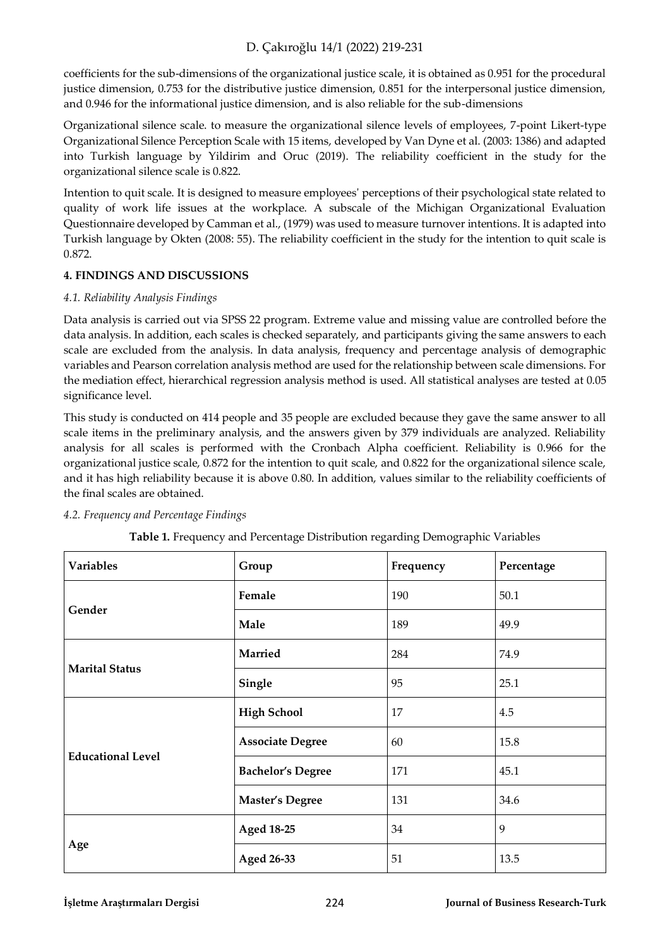coefficients for the sub-dimensions of the organizational justice scale, it is obtained as 0.951 for the procedural justice dimension, 0.753 for the distributive justice dimension, 0.851 for the interpersonal justice dimension, and 0.946 for the informational justice dimension, and is also reliable for the sub-dimensions

Organizational silence scale. to measure the organizational silence levels of employees, 7-point Likert-type Organizational Silence Perception Scale with 15 items, developed by Van Dyne et al. (2003: 1386) and adapted into Turkish language by Yildirim and Oruc (2019). The reliability coefficient in the study for the organizational silence scale is 0.822.

Intention to quit scale. It is designed to measure employees' perceptions of their psychological state related to quality of work life issues at the workplace. A subscale of the Michigan Organizational Evaluation Questionnaire developed by Camman et al., (1979) was used to measure turnover intentions. It is adapted into Turkish language by Okten (2008: 55). The reliability coefficient in the study for the intention to quit scale is 0.872.

# **4. FINDINGS AND DISCUSSIONS**

# *4.1. Reliability Analysis Findings*

Data analysis is carried out via SPSS 22 program. Extreme value and missing value are controlled before the data analysis. In addition, each scales is checked separately, and participants giving the same answers to each scale are excluded from the analysis. In data analysis, frequency and percentage analysis of demographic variables and Pearson correlation analysis method are used for the relationship between scale dimensions. For the mediation effect, hierarchical regression analysis method is used. All statistical analyses are tested at 0.05 significance level.

This study is conducted on 414 people and 35 people are excluded because they gave the same answer to all scale items in the preliminary analysis, and the answers given by 379 individuals are analyzed. Reliability analysis for all scales is performed with the Cronbach Alpha coefficient. Reliability is 0.966 for the organizational justice scale, 0.872 for the intention to quit scale, and 0.822 for the organizational silence scale, and it has high reliability because it is above 0.80. In addition, values similar to the reliability coefficients of the final scales are obtained.

**Table 1.** Frequency and Percentage Distribution regarding Demographic Variables

| <b>Variables</b>         | Group                    | Frequency | Percentage |  |
|--------------------------|--------------------------|-----------|------------|--|
|                          | Female                   | 190       | 50.1       |  |
| Gender                   | Male                     | 189       | 49.9       |  |
| <b>Marital Status</b>    | <b>Married</b>           | 284       | 74.9       |  |
|                          | Single                   | 95        | 25.1       |  |
|                          | <b>High School</b>       | 17        | 4.5        |  |
| <b>Educational Level</b> | <b>Associate Degree</b>  | 60        | 15.8       |  |
|                          | <b>Bachelor's Degree</b> | 171       | 45.1       |  |
|                          | <b>Master's Degree</b>   | 131       | 34.6       |  |
|                          | <b>Aged 18-25</b>        | 34        | 9          |  |
| Age                      | Aged 26-33               | 51        | 13.5       |  |

### *4.2. Frequency and Percentage Findings*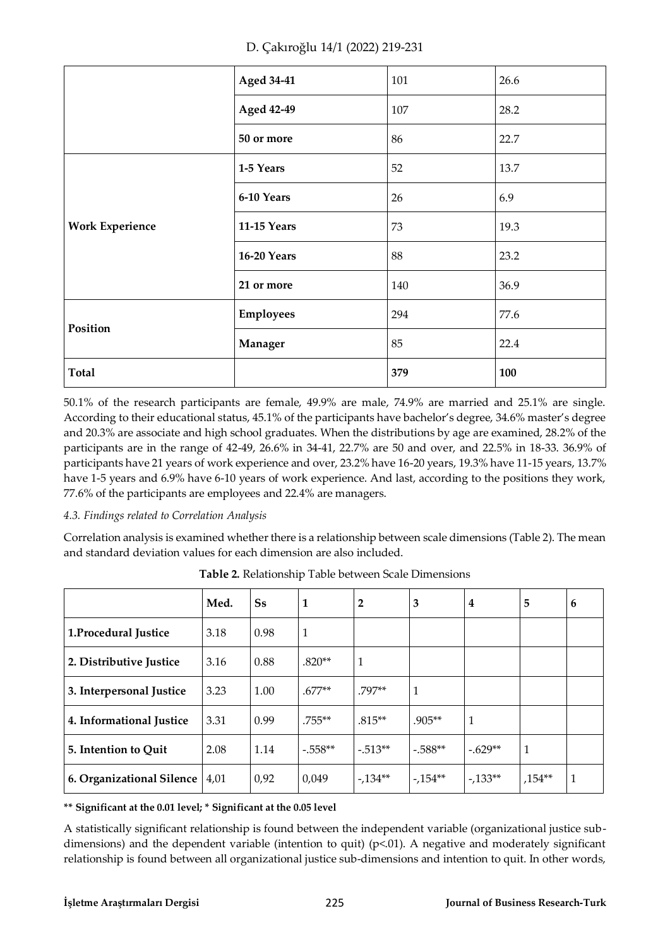| D. Çakıroğlu 14/1 (2022) 219-231 |  |
|----------------------------------|--|
|----------------------------------|--|

|                        | <b>Aged 34-41</b>  | 101 | 26.6 |
|------------------------|--------------------|-----|------|
|                        | <b>Aged 42-49</b>  | 107 | 28.2 |
|                        | 50 or more         | 86  | 22.7 |
|                        | 1-5 Years          | 52  | 13.7 |
| <b>Work Experience</b> | 6-10 Years         | 26  | 6.9  |
|                        | <b>11-15 Years</b> | 73  | 19.3 |
|                        | <b>16-20 Years</b> | 88  | 23.2 |
|                        | 21 or more         | 140 | 36.9 |
| Position               | <b>Employees</b>   | 294 | 77.6 |
|                        | Manager            | 85  | 22.4 |
| <b>Total</b>           |                    | 379 | 100  |

50.1% of the research participants are female, 49.9% are male, 74.9% are married and 25.1% are single. According to their educational status, 45.1% of the participants have bachelor's degree, 34.6% master's degree and 20.3% are associate and high school graduates. When the distributions by age are examined, 28.2% of the participants are in the range of 42-49, 26.6% in 34-41, 22.7% are 50 and over, and 22.5% in 18-33. 36.9% of participants have 21 years of work experience and over, 23.2% have 16-20 years, 19.3% have 11-15 years, 13.7% have 1-5 years and 6.9% have 6-10 years of work experience. And last, according to the positions they work, 77.6% of the participants are employees and 22.4% are managers.

# *4.3. Findings related to Correlation Analysis*

Correlation analysis is examined whether there is a relationship between scale dimensions (Table 2). The mean and standard deviation values for each dimension are also included.

|                           | Med. | <b>Ss</b> | 1            | $\overline{2}$ | 3         | 4         | 5            | 6 |
|---------------------------|------|-----------|--------------|----------------|-----------|-----------|--------------|---|
| 1.Procedural Justice      | 3.18 | 0.98      | $\mathbf{1}$ |                |           |           |              |   |
| 2. Distributive Justice   | 3.16 | 0.88      | $.820**$     | 1              |           |           |              |   |
| 3. Interpersonal Justice  | 3.23 | 1.00      | $.677**$     | .797**         | 1         |           |              |   |
| 4. Informational Justice  | 3.31 | 0.99      | $.755***$    | $.815**$       | $.905**$  | 1         |              |   |
| 5. Intention to Quit      | 2.08 | 1.14      | $-.558**$    | $-.513**$      | $-.588**$ | $-.629**$ | $\mathbf{1}$ |   |
| 6. Organizational Silence | 4,01 | 0,92      | 0,049        | $-134**$       | $-154**$  | $-133**$  | $,154**$     | 1 |

**Table 2.** Relationship Table between Scale Dimensions

**\*\* Significant at the 0.01 level; \* Significant at the 0.05 level** 

A statistically significant relationship is found between the independent variable (organizational justice subdimensions) and the dependent variable (intention to quit) ( $p<01$ ). A negative and moderately significant relationship is found between all organizational justice sub-dimensions and intention to quit. In other words,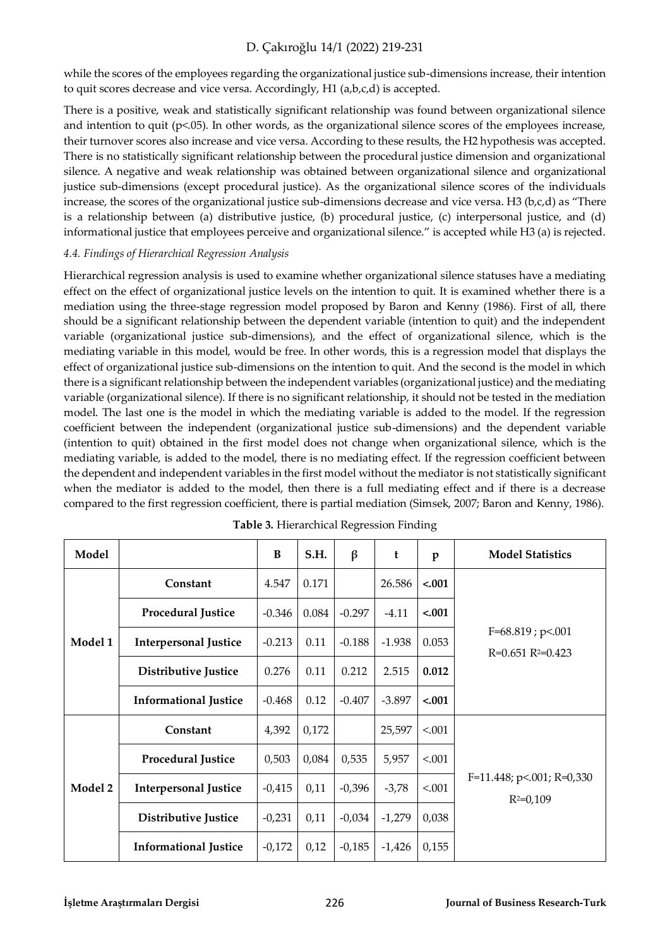while the scores of the employees regarding the organizational justice sub-dimensions increase, their intention to quit scores decrease and vice versa. Accordingly, H1 (a,b,c,d) is accepted.

There is a positive, weak and statistically significant relationship was found between organizational silence and intention to quit ( $p<05$ ). In other words, as the organizational silence scores of the employees increase, their turnover scores also increase and vice versa. According to these results, the H2 hypothesis was accepted. There is no statistically significant relationship between the procedural justice dimension and organizational silence. A negative and weak relationship was obtained between organizational silence and organizational justice sub-dimensions (except procedural justice). As the organizational silence scores of the individuals increase, the scores of the organizational justice sub-dimensions decrease and vice versa. H3 ( $b, c, d$ ) as "There is a relationship between (a) distributive justice, (b) procedural justice, (c) interpersonal justice, and (d) informational justice that employees perceive and organizational silence." is accepted while H3 (a) is rejected.

### *4.4. Findings of Hierarchical Regression Analysis*

Hierarchical regression analysis is used to examine whether organizational silence statuses have a mediating effect on the effect of organizational justice levels on the intention to quit. It is examined whether there is a mediation using the three-stage regression model proposed by Baron and Kenny (1986). First of all, there should be a significant relationship between the dependent variable (intention to quit) and the independent variable (organizational justice sub-dimensions), and the effect of organizational silence, which is the mediating variable in this model, would be free. In other words, this is a regression model that displays the effect of organizational justice sub-dimensions on the intention to quit. And the second is the model in which there is a significant relationship between the independent variables (organizational justice) and the mediating variable (organizational silence). If there is no significant relationship, it should not be tested in the mediation model. The last one is the model in which the mediating variable is added to the model. If the regression coefficient between the independent (organizational justice sub-dimensions) and the dependent variable (intention to quit) obtained in the first model does not change when organizational silence, which is the mediating variable, is added to the model, there is no mediating effect. If the regression coefficient between the dependent and independent variables in the first model without the mediator is not statistically significant when the mediator is added to the model, then there is a full mediating effect and if there is a decrease compared to the first regression coefficient, there is partial mediation (Simsek, 2007; Baron and Kenny, 1986).

| Model   |                              | $\bf{B}$ | S.H.  | $\beta$  | t        | p       | <b>Model Statistics</b>                    |
|---------|------------------------------|----------|-------|----------|----------|---------|--------------------------------------------|
| Model 1 | Constant                     | 4.547    | 0.171 |          | 26.586   | $-.001$ |                                            |
|         | <b>Procedural Justice</b>    | $-0.346$ | 0.084 | $-0.297$ | $-4.11$  | $-.001$ |                                            |
|         | <b>Interpersonal Justice</b> | $-0.213$ | 0.11  | $-0.188$ | $-1.938$ | 0.053   | $F=68.819$ ; p<.001<br>$R=0.651 R=0.423$   |
|         | Distributive Justice         | 0.276    | 0.11  | 0.212    | 2.515    | 0.012   |                                            |
|         | <b>Informational Justice</b> | $-0.468$ | 0.12  | $-0.407$ | $-3.897$ | $-.001$ |                                            |
|         | Constant                     | 4,392    | 0,172 |          | 25,597   | < 0.001 |                                            |
| Model 2 | <b>Procedural Justice</b>    | 0,503    | 0,084 | 0,535    | 5,957    | < 0.001 |                                            |
|         | <b>Interpersonal Justice</b> | $-0,415$ | 0,11  | $-0,396$ | $-3,78$  | < 0.001 | $F=11.448; p<.001; R=0.330$<br>$R^2=0,109$ |
|         | Distributive Justice         | $-0,231$ | 0,11  | $-0,034$ | $-1,279$ | 0,038   |                                            |
|         | <b>Informational Justice</b> | $-0,172$ | 0,12  | $-0,185$ | $-1,426$ | 0,155   |                                            |

**Table 3.** Hierarchical Regression Finding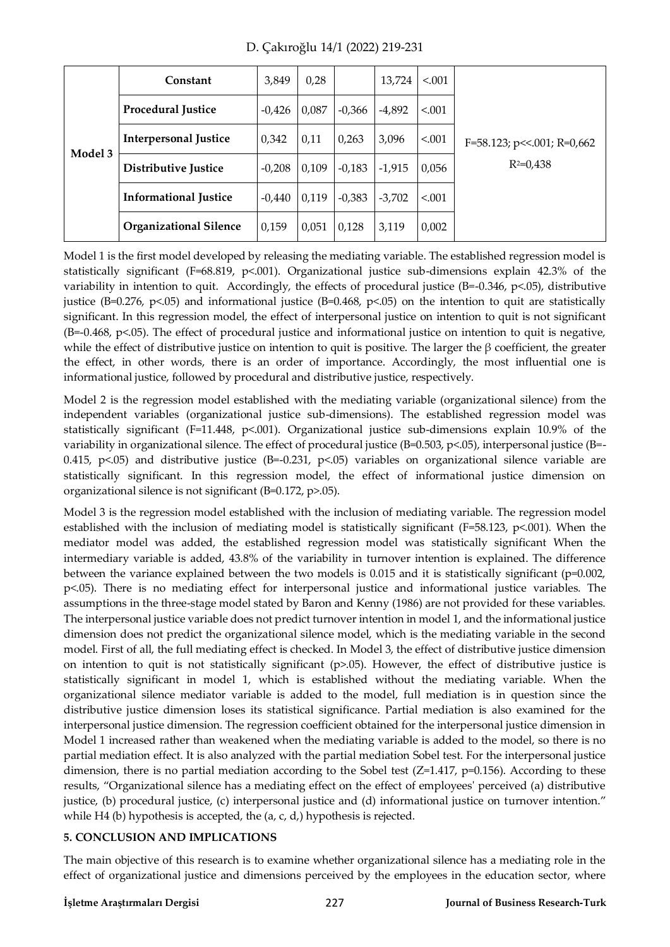| Model 3 | Constant                      | 3,849    | 0,28  |          | 13,724   | < 0.001 |                                  |
|---------|-------------------------------|----------|-------|----------|----------|---------|----------------------------------|
|         | <b>Procedural Justice</b>     | $-0,426$ | 0,087 | $-0,366$ | $-4,892$ | < 0.001 |                                  |
|         | <b>Interpersonal Justice</b>  | 0,342    | 0,11  | 0,263    | 3,096    | < 0.001 | $F=58.123$ ; p << 001; R = 0,662 |
|         | <b>Distributive Justice</b>   | $-0,208$ | 0,109 | $-0,183$ | $-1,915$ | 0,056   | $R^2=0.438$                      |
|         | <b>Informational Justice</b>  | $-0,440$ | 0,119 | $-0,383$ | $-3,702$ | < 0.001 |                                  |
|         | <b>Organizational Silence</b> | 0,159    | 0,051 | 0,128    | 3,119    | 0,002   |                                  |

D. Çakıroğlu 14/1 (2022) 219-231

Model 1 is the first model developed by releasing the mediating variable. The established regression model is statistically significant (F=68.819, p<.001). Organizational justice sub-dimensions explain 42.3% of the variability in intention to quit. Accordingly, the effects of procedural justice (B=-0.346, p<.05), distributive justice (B=0.276, p<.05) and informational justice (B=0.468, p<.05) on the intention to quit are statistically significant. In this regression model, the effect of interpersonal justice on intention to quit is not significant (B=-0.468, p<.05). The effect of procedural justice and informational justice on intention to quit is negative, while the effect of distributive justice on intention to quit is positive. The larger the β coefficient, the greater the effect, in other words, there is an order of importance. Accordingly, the most influential one is informational justice, followed by procedural and distributive justice, respectively.

Model 2 is the regression model established with the mediating variable (organizational silence) from the independent variables (organizational justice sub-dimensions). The established regression model was statistically significant (F=11.448, p<.001). Organizational justice sub-dimensions explain 10.9% of the variability in organizational silence. The effect of procedural justice (B=0.503, p<.05), interpersonal justice (B=-0.415,  $p$ <.05) and distributive justice (B=-0.231,  $p$ <.05) variables on organizational silence variable are statistically significant. In this regression model, the effect of informational justice dimension on organizational silence is not significant (B=0.172, p>.05).

Model 3 is the regression model established with the inclusion of mediating variable. The regression model established with the inclusion of mediating model is statistically significant (F=58.123, p<.001). When the mediator model was added, the established regression model was statistically significant When the intermediary variable is added, 43.8% of the variability in turnover intention is explained. The difference between the variance explained between the two models is 0.015 and it is statistically significant (p=0.002, p<.05). There is no mediating effect for interpersonal justice and informational justice variables. The assumptions in the three-stage model stated by Baron and Kenny (1986) are not provided for these variables. The interpersonal justice variable does not predict turnover intention in model 1, and the informational justice dimension does not predict the organizational silence model, which is the mediating variable in the second model. First of all, the full mediating effect is checked. In Model 3, the effect of distributive justice dimension on intention to quit is not statistically significant (p>.05). However, the effect of distributive justice is statistically significant in model 1, which is established without the mediating variable. When the organizational silence mediator variable is added to the model, full mediation is in question since the distributive justice dimension loses its statistical significance. Partial mediation is also examined for the interpersonal justice dimension. The regression coefficient obtained for the interpersonal justice dimension in Model 1 increased rather than weakened when the mediating variable is added to the model, so there is no partial mediation effect. It is also analyzed with the partial mediation Sobel test. For the interpersonal justice dimension, there is no partial mediation according to the Sobel test  $(Z=1.417, p=0.156)$ . According to these results, "Organizational silence has a mediating effect on the effect of employees' perceived (a) distributive justice, (b) procedural justice, (c) interpersonal justice and (d) informational justice on turnover intention." while H4 (b) hypothesis is accepted, the (a, c, d,) hypothesis is rejected.

# **5. CONCLUSION AND IMPLICATIONS**

The main objective of this research is to examine whether organizational silence has a mediating role in the effect of organizational justice and dimensions perceived by the employees in the education sector, where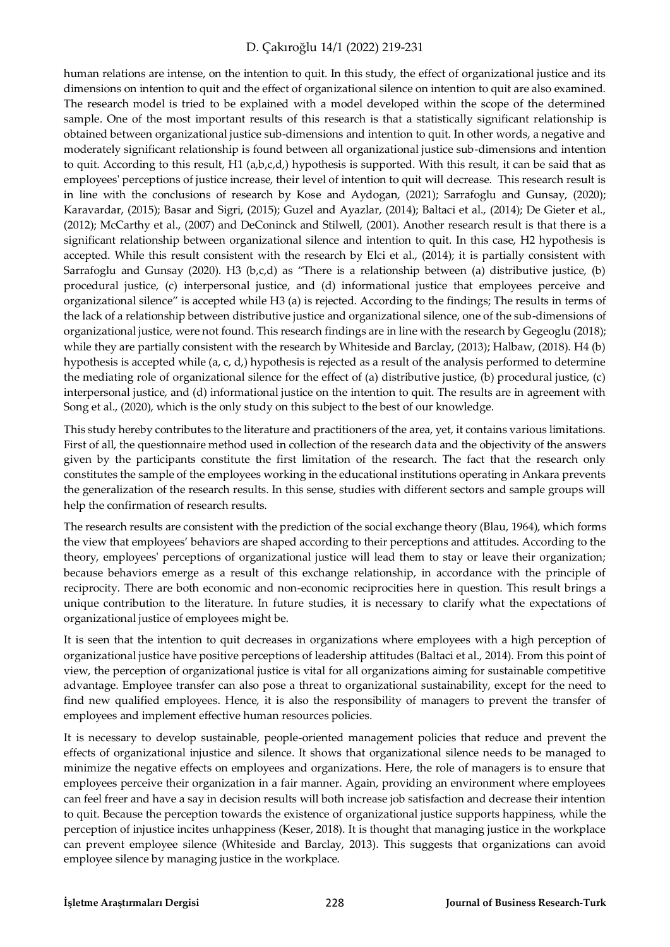human relations are intense, on the intention to quit. In this study, the effect of organizational justice and its dimensions on intention to quit and the effect of organizational silence on intention to quit are also examined. The research model is tried to be explained with a model developed within the scope of the determined sample. One of the most important results of this research is that a statistically significant relationship is obtained between organizational justice sub-dimensions and intention to quit. In other words, a negative and moderately significant relationship is found between all organizational justice sub-dimensions and intention to quit. According to this result, H1 (a,b,c,d,) hypothesis is supported. With this result, it can be said that as employees' perceptions of justice increase, their level of intention to quit will decrease. This research result is in line with the conclusions of research by Kose and Aydogan, (2021); Sarrafoglu and Gunsay, (2020); Karavardar, (2015); Basar and Sigri, (2015); Guzel and Ayazlar, (2014); Baltaci et al., (2014); De Gieter et al., (2012); McCarthy et al., (2007) and DeConinck and Stilwell, (2001). Another research result is that there is a significant relationship between organizational silence and intention to quit. In this case, H2 hypothesis is accepted. While this result consistent with the research by Elci et al., (2014); it is partially consistent with Sarrafoglu and Gunsay (2020). H3 (b,c,d) as "There is a relationship between (a) distributive justice, (b) procedural justice, (c) interpersonal justice, and (d) informational justice that employees perceive and organizational silence" is accepted while H3 (a) is rejected. According to the findings; The results in terms of the lack of a relationship between distributive justice and organizational silence, one of the sub-dimensions of organizational justice, were not found. This research findings are in line with the research by Gegeoglu (2018); while they are partially consistent with the research by Whiteside and Barclay, (2013); Halbaw, (2018). H4 (b) hypothesis is accepted while (a, c, d,) hypothesis is rejected as a result of the analysis performed to determine the mediating role of organizational silence for the effect of (a) distributive justice, (b) procedural justice, (c) interpersonal justice, and (d) informational justice on the intention to quit. The results are in agreement with Song et al., (2020), which is the only study on this subject to the best of our knowledge.

This study hereby contributes to the literature and practitioners of the area, yet, it contains various limitations. First of all, the questionnaire method used in collection of the research data and the objectivity of the answers given by the participants constitute the first limitation of the research. The fact that the research only constitutes the sample of the employees working in the educational institutions operating in Ankara prevents the generalization of the research results. In this sense, studies with different sectors and sample groups will help the confirmation of research results.

The research results are consistent with the prediction of the social exchange theory (Blau, 1964), which forms the view that employees' behaviors are shaped according to their perceptions and attitudes. According to the theory, employees' perceptions of organizational justice will lead them to stay or leave their organization; because behaviors emerge as a result of this exchange relationship, in accordance with the principle of reciprocity. There are both economic and non-economic reciprocities here in question. This result brings a unique contribution to the literature. In future studies, it is necessary to clarify what the expectations of organizational justice of employees might be.

It is seen that the intention to quit decreases in organizations where employees with a high perception of organizational justice have positive perceptions of leadership attitudes (Baltaci et al., 2014). From this point of view, the perception of organizational justice is vital for all organizations aiming for sustainable competitive advantage. Employee transfer can also pose a threat to organizational sustainability, except for the need to find new qualified employees. Hence, it is also the responsibility of managers to prevent the transfer of employees and implement effective human resources policies.

It is necessary to develop sustainable, people-oriented management policies that reduce and prevent the effects of organizational injustice and silence. It shows that organizational silence needs to be managed to minimize the negative effects on employees and organizations. Here, the role of managers is to ensure that employees perceive their organization in a fair manner. Again, providing an environment where employees can feel freer and have a say in decision results will both increase job satisfaction and decrease their intention to quit. Because the perception towards the existence of organizational justice supports happiness, while the perception of injustice incites unhappiness (Keser, 2018). It is thought that managing justice in the workplace can prevent employee silence (Whiteside and Barclay, 2013). This suggests that organizations can avoid employee silence by managing justice in the workplace.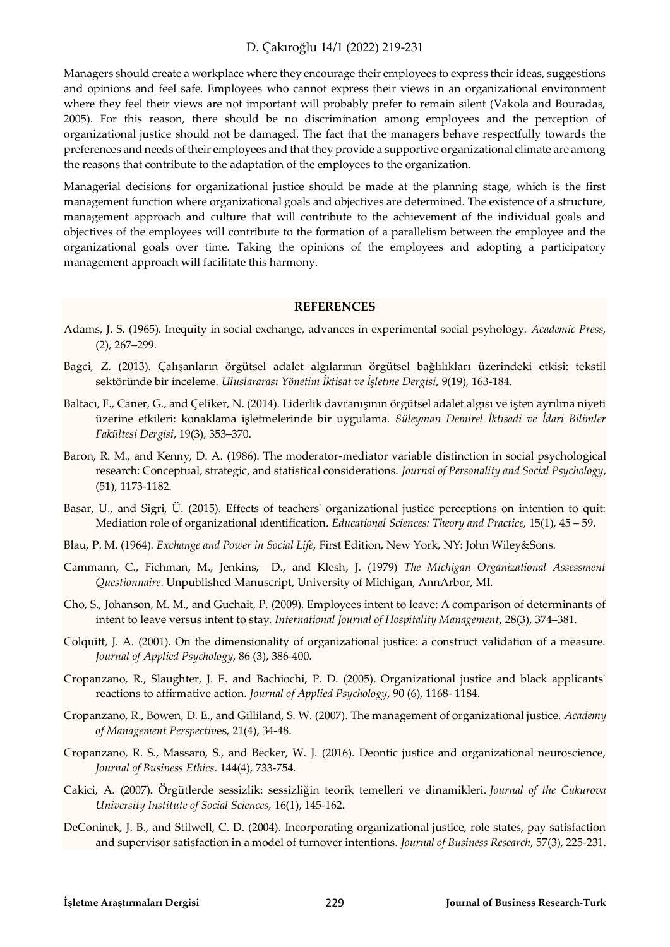Managers should create a workplace where they encourage their employees to express their ideas, suggestions and opinions and feel safe. Employees who cannot express their views in an organizational environment where they feel their views are not important will probably prefer to remain silent (Vakola and Bouradas, 2005). For this reason, there should be no discrimination among employees and the perception of organizational justice should not be damaged. The fact that the managers behave respectfully towards the preferences and needs of their employees and that they provide a supportive organizational climate are among the reasons that contribute to the adaptation of the employees to the organization.

Managerial decisions for organizational justice should be made at the planning stage, which is the first management function where organizational goals and objectives are determined. The existence of a structure, management approach and culture that will contribute to the achievement of the individual goals and objectives of the employees will contribute to the formation of a parallelism between the employee and the organizational goals over time. Taking the opinions of the employees and adopting a participatory management approach will facilitate this harmony.

#### **REFERENCES**

- Adams, J. S. (1965). Inequity in social exchange, advances in experimental social psyhology. *Academic Press,*  (2), 267–299.
- Bagci, Z. (2013). Çalışanların örgütsel adalet algılarının örgütsel bağlılıkları üzerindeki etkisi: tekstil sektöründe bir inceleme. *Uluslararası Yönetim İktisat ve İşletme Dergisi*, 9(19), 163-184.
- Baltacı, F., Caner, G., and Çeliker, N. (2014). Liderlik davranışının örgütsel adalet algısı ve işten ayrılma niyeti üzerine etkileri: konaklama işletmelerinde bir uygulama. *Süleyman Demirel İktisadi ve İdari Bilimler Fakültesi Dergisi*, 19(3), 353–370.
- Baron, R. M., and Kenny, D. A. (1986). The moderator-mediator variable distinction in social psychological research: Conceptual, strategic, and statistical considerations. *Journal of Personality and Social Psychology*, (51), 1173-1182.
- Basar, U., and Sigri, Ü. (2015). Effects of teachers' organizational justice perceptions on intention to quit: Mediation role of organizational ıdentification. *Educational Sciences: Theory and Practice*, 15(1), 45 – 59.
- Blau, P. M. (1964). *Exchange and Power in Social Life*, First Edition, New York, NY: John Wiley&Sons.
- Cammann, C., Fichman, M., Jenkins, D., and Klesh, J. (1979) *The Michigan Organizational Assessment Questionnaire*. Unpublished Manuscript, University of Michigan, AnnArbor, MI.
- Cho, S., Johanson, M. M., and Guchait, P. (2009). Employees intent to leave: A comparison of determinants of intent to leave versus intent to stay. *International Journal of Hospitality Management*, 28(3), 374–381.
- Colquitt, J. A. (2001). On the dimensionality of organizational justice: a construct validation of a measure. *Journal of Applied Psychology*, 86 (3), 386‐400.
- Cropanzano, R., Slaughter, J. E. and Bachiochi, P. D. (2005). Organizational justice and black applicants' reactions to affirmative action. *Journal of Applied Psychology*, 90 (6), 1168- 1184.
- Cropanzano, R., Bowen, D. E., and Gilliland, S. W. (2007). The management of organizational justice. *Academy of Management Perspectiv*es, 21(4), 34-48.
- Cropanzano, R. S., Massaro, S., and Becker, W. J. (2016). Deontic justice and organizational neuroscience, *Journal of Business Ethics*. 144(4), 733-754.
- Cakici, A. (2007). Örgütlerde sessizlik: sessizliğin teorik temelleri ve dinamikleri. *Journal of the Cukurova University Institute of Social Sciences,* 16(1), 145-162.
- DeConinck, J. B., and Stilwell, C. D. (2004). Incorporating organizational justice, role states, pay satisfaction and supervisor satisfaction in a model of turnover intentions. *Journal of Business Research*, 57(3), 225-231.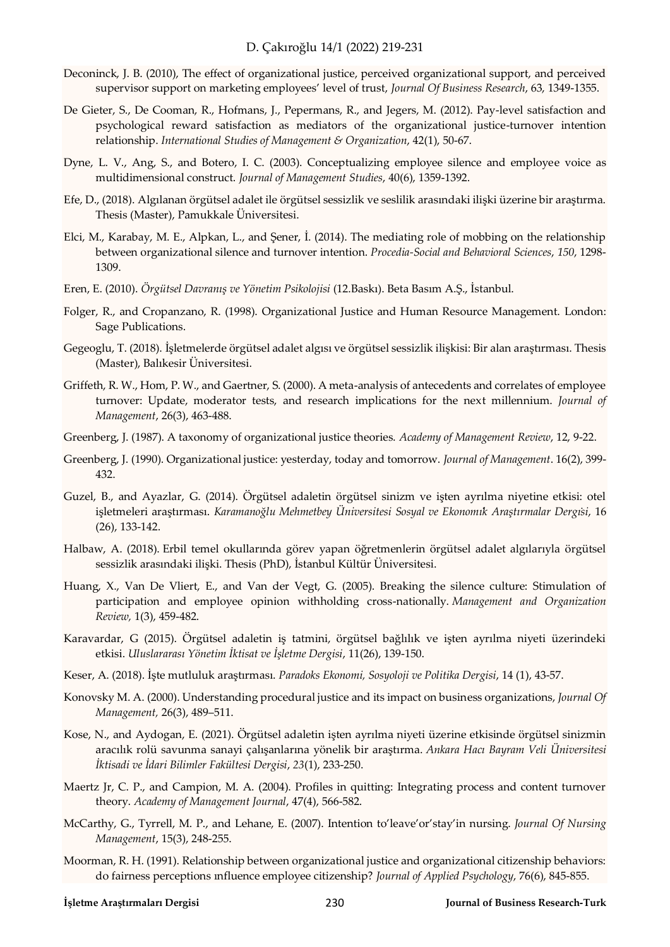- Deconinck, J. B. (2010), The effect of organizational justice, perceived organizational support, and perceived supervisor support on marketing employees' level of trust, *Journal Of Business Research*, 63, 1349‐1355.
- De Gieter, S., De Cooman, R., Hofmans, J., Pepermans, R., and Jegers, M. (2012). Pay-level satisfaction and psychological reward satisfaction as mediators of the organizational justice-turnover intention relationship. *International Studies of Management & Organization*, 42(1), 50-67.
- Dyne, L. V., Ang, S., and Botero, I. C. (2003). Conceptualizing employee silence and employee voice as multidimensional construct. *Journal of Management Studies*, 40(6), 1359-1392.
- Efe, D., (2018). Algılanan örgütsel adalet ile örgütsel sessizlik ve seslilik arasındaki ilişki üzerine bir araştırma. Thesis (Master), Pamukkale Üniversitesi.
- Elci, M., Karabay, M. E., Alpkan, L., and Şener, İ. (2014). The mediating role of mobbing on the relationship between organizational silence and turnover intention. *Procedia-Social and Behavioral Sciences*, *150*, 1298- 1309.
- Eren, E. (2010). *Örgütsel Davranış ve Yönetim Psikolojisi* (12.Baskı). Beta Basım A.Ş., İstanbul.
- Folger, R., and Cropanzano, R. (1998). Organizational Justice and Human Resource Management. London: Sage Publications.
- Gegeoglu, T. (2018). İşletmelerde örgütsel adalet algısı ve örgütsel sessizlik ilişkisi: Bir alan araştırması. Thesis (Master), Balıkesir Üniversitesi.
- Griffeth, R. W., Hom, P. W., and Gaertner, S. (2000). A meta-analysis of antecedents and correlates of employee turnover: Update, moderator tests, and research implications for the next millennium. *Journal of Management*, 26(3), 463-488.
- Greenberg, J. (1987). A taxonomy of organizational justice theories. *Academy of Management Review*, 12, 9-22.
- Greenberg, J. (1990). Organizational justice: yesterday, today and tomorrow. *Journal of Management*. 16(2), 399- 432.
- Guzel, B., and Ayazlar, G. (2014). Örgütsel adaletin örgütsel sinizm ve işten ayrılma niyetine etkisi: otel işletmeleri araştırması. *Karamanoğlu Mehmetbey Üniversitesi Sosyal ve Ekonomı̇k Araştırmalar Dergı̇si*, 16 (26), 133-142.
- Halbaw, A. (2018). Erbil temel okullarında görev yapan öğretmenlerin örgütsel adalet algılarıyla örgütsel sessizlik arasındaki ilişki. Thesis (PhD), İstanbul Kültür Üniversitesi.
- Huang, X., Van De Vliert, E., and Van der Vegt, G. (2005). Breaking the silence culture: Stimulation of participation and employee opinion withholding cross-nationally. *Management and Organization Review,* 1(3), 459-482.
- Karavardar, G (2015). Örgütsel adaletin iş tatmini, örgütsel bağlılık ve işten ayrılma niyeti üzerindeki etkisi. *Uluslararası Yönetim İktisat ve İşletme Dergisi*, 11(26), 139-150.
- Keser, A. (2018). İşte mutluluk araştırması. *Paradoks Ekonomi, Sosyoloji ve Politika Dergisi*, 14 (1), 43-57.
- Konovsky M. A. (2000). Understanding procedural justice and its impact on business organizations, *Journal Of Management,* 26(3), 489–511.
- Kose, N., and Aydogan, E. (2021). Örgütsel adaletin işten ayrılma niyeti üzerine etkisinde örgütsel sinizmin aracılık rolü savunma sanayi çalışanlarına yönelik bir araştırma. *Ankara Hacı Bayram Veli Üniversitesi İktisadi ve İdari Bilimler Fakültesi Dergisi*, *23*(1), 233-250.
- Maertz Jr, C. P., and Campion, M. A. (2004). Profiles in quitting: Integrating process and content turnover theory. *Academy of Management Journal*, 47(4), 566-582.
- McCarthy, G., Tyrrell, M. P., and Lehane, E. (2007). Intention to'leave'or'stay'in nursing. *Journal Of Nursing Management*, 15(3), 248-255.
- Moorman, R. H. (1991). Relationship between organizational justice and organizational citizenship behaviors: do fairness perceptions ınfluence employee citizenship? *Journal of Applied Psychology*, 76(6), 845-855.